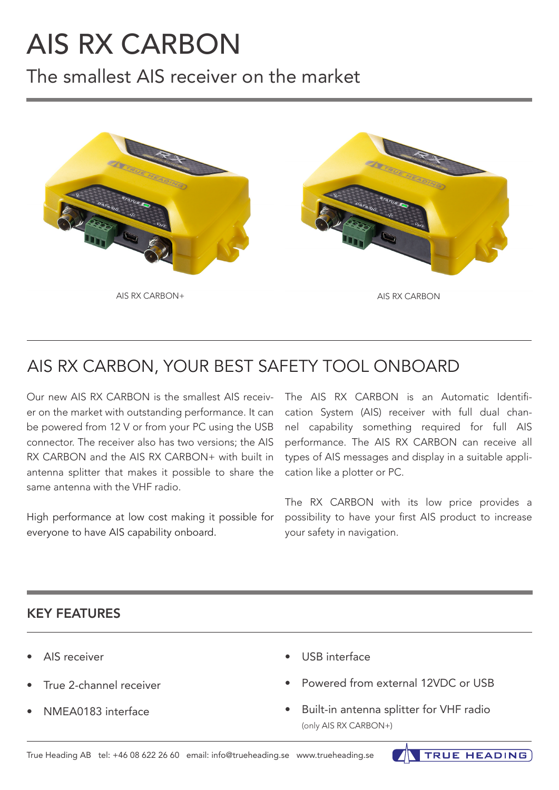# AIS RX CARBON

The smallest AIS receiver on the market



## AIS RX CARBON, YOUR BEST SAFETY TOOL ONBOARD

Our new AIS RX CARBON is the smallest AIS receiver on the market with outstanding performance. It can be powered from 12 V or from your PC using the USB connector. The receiver also has two versions; the AIS RX CARBON and the AIS RX CARBON+ with built in antenna splitter that makes it possible to share the same antenna with the VHF radio.

High performance at low cost making it possible for everyone to have AIS capability onboard.

The AIS RX CARBON is an Automatic Identification System (AIS) receiver with full dual channel capability something required for full AIS performance. The AIS RX CARBON can receive all types of AIS messages and display in a suitable application like a plotter or PC.

The RX CARBON with its low price provides a possibility to have your first AIS product to increase your safety in navigation.

### KEY FEATURES

- AIS receiver
- True 2-channel receiver
- NMEA0183 interface
- USB interface
- Powered from external 12VDC or USB
- Built-in antenna splitter for VHF radio (only AIS RX CARBON+)